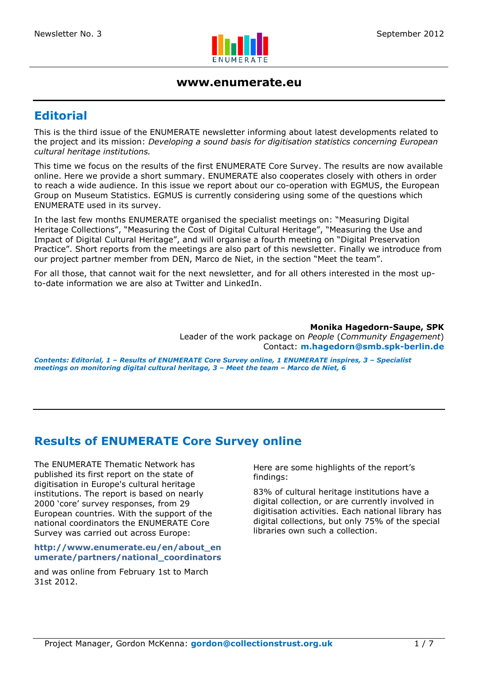

#### **www.enumerate.eu**

# **Editorial**

This is the third issue of the ENUMERATE newsletter informing about latest developments related to the project and its mission: *Developing a sound basis for digitisation statistics concerning European cultural heritage institutions.*

This time we focus on the results of the first ENUMERATE Core Survey. The results are now available online. Here we provide a short summary. ENUMERATE also cooperates closely with others in order to reach a wide audience. In this issue we report about our co-operation with EGMUS, the European Group on Museum Statistics. EGMUS is currently considering using some of the questions which ENUMERATE used in its survey.

In the last few months ENUMERATE organised the specialist meetings on: "Measuring Digital Heritage Collections", "Measuring the Cost of Digital Cultural Heritage", "Measuring the Use and Impact of Digital Cultural Heritage", and will organise a fourth meeting on "Digital Preservation Practice". Short reports from the meetings are also part of this newsletter. Finally we introduce from our project partner member from DEN, Marco de Niet, in the section "Meet the team".

For all those, that cannot wait for the next newsletter, and for all others interested in the most upto-date information we are also at Twitter and LinkedIn.

> **Monika Hagedorn-Saupe, SPK**  Leader of the work package on *People* (*Community Engagement*) Contact: **m.hagedorn@smb.spk-berlin.de**

*Contents: Editorial, 1 – Results of ENUMERATE Core Survey online, 1 ENUMERATE inspires, 3 – Specialist meetings on monitoring digital cultural heritage, 3 – Meet the team – Marco de Niet, 6* 

## **Results of ENUMERATE Core Survey online**

The ENUMERATE Thematic Network has published its first report on the state of digitisation in Europe's cultural heritage institutions. The report is based on nearly 2000 'core' survey responses, from 29 European countries. With the support of the national coordinators the ENUMERATE Core Survey was carried out across Europe:

#### **http://www.enumerate.eu/en/about\_en umerate/partners/national\_coordinators**

and was online from February 1st to March 31st 2012.

Here are some highlights of the report's findings:

83% of cultural heritage institutions have a digital collection, or are currently involved in digitisation activities. Each national library has digital collections, but only 75% of the special libraries own such a collection.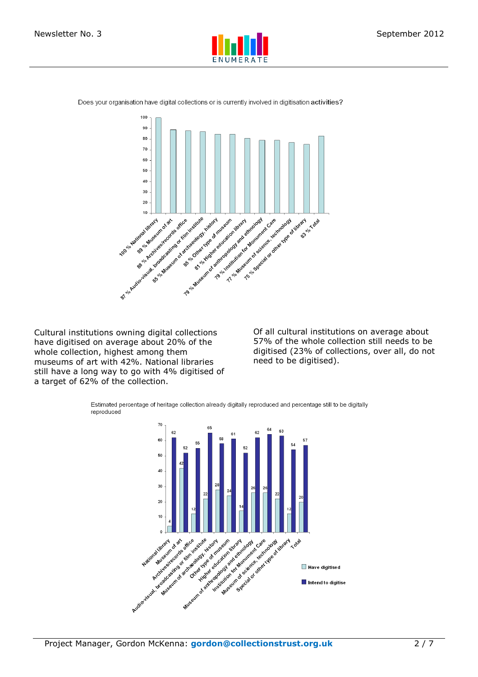





Cultural institutions owning digital collections have digitised on average about 20% of the whole collection, highest among them museums of art with 42%. National libraries still have a long way to go with 4% digitised of a target of 62% of the collection.

Of all cultural institutions on average about 57% of the whole collection still needs to be digitised (23% of collections, over all, do not need to be digitised).

Estimated percentage of heritage collection already digitally reproduced and percentage still to be digitally reproduced

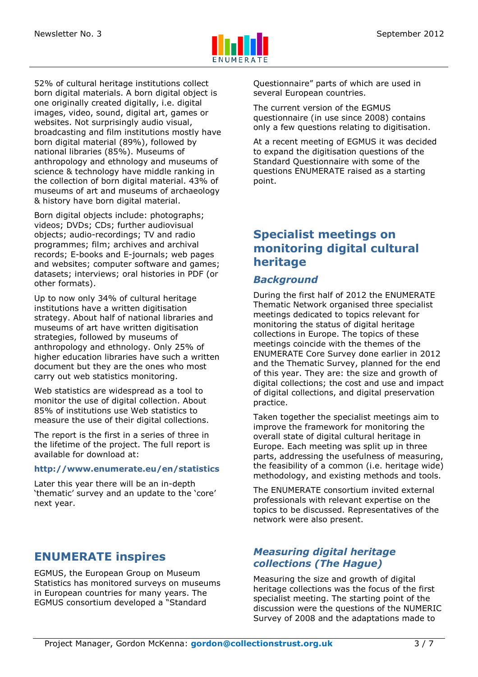

52% of cultural heritage institutions collect born digital materials. A born digital object is one originally created digitally, i.e. digital images, video, sound, digital art, games or websites. Not surprisingly audio visual, broadcasting and film institutions mostly have born digital material (89%), followed by national libraries (85%). Museums of anthropology and ethnology and museums of science & technology have middle ranking in the collection of born digital material. 43% of museums of art and museums of archaeology & history have born digital material.

Born digital objects include: photographs; videos; DVDs; CDs; further audiovisual objects; audio-recordings; TV and radio programmes; film; archives and archival records; E-books and E-journals; web pages and websites; computer software and games; datasets; interviews; oral histories in PDF (or other formats).

Up to now only 34% of cultural heritage institutions have a written digitisation strategy. About half of national libraries and museums of art have written digitisation strategies, followed by museums of anthropology and ethnology. Only 25% of higher education libraries have such a written document but they are the ones who most carry out web statistics monitoring.

Web statistics are widespread as a tool to monitor the use of digital collection. About 85% of institutions use Web statistics to measure the use of their digital collections.

The report is the first in a series of three in the lifetime of the project. The full report is available for download at:

#### **http://www.enumerate.eu/en/statistics**

Later this year there will be an in-depth 'thematic' survey and an update to the 'core' next year.

# **ENUMERATE inspires**

EGMUS, the European Group on Museum Statistics has monitored surveys on museums in European countries for many years. The EGMUS consortium developed a "Standard

Questionnaire" parts of which are used in several European countries.

The current version of the EGMUS questionnaire (in use since 2008) contains only a few questions relating to digitisation.

At a recent meeting of EGMUS it was decided to expand the digitisation questions of the Standard Questionnaire with some of the questions ENUMERATE raised as a starting point.

# **Specialist meetings on monitoring digital cultural heritage**

#### *Background*

During the first half of 2012 the ENUMERATE Thematic Network organised three specialist meetings dedicated to topics relevant for monitoring the status of digital heritage collections in Europe. The topics of these meetings coincide with the themes of the ENUMERATE Core Survey done earlier in 2012 and the Thematic Survey, planned for the end of this year. They are: the size and growth of digital collections; the cost and use and impact of digital collections, and digital preservation practice.

Taken together the specialist meetings aim to improve the framework for monitoring the overall state of digital cultural heritage in Europe. Each meeting was split up in three parts, addressing the usefulness of measuring, the feasibility of a common (i.e. heritage wide) methodology, and existing methods and tools.

The ENUMERATE consortium invited external professionals with relevant expertise on the topics to be discussed. Representatives of the network were also present.

## *Measuring digital heritage collections (The Hague)*

Measuring the size and growth of digital heritage collections was the focus of the first specialist meeting. The starting point of the discussion were the questions of the NUMERIC Survey of 2008 and the adaptations made to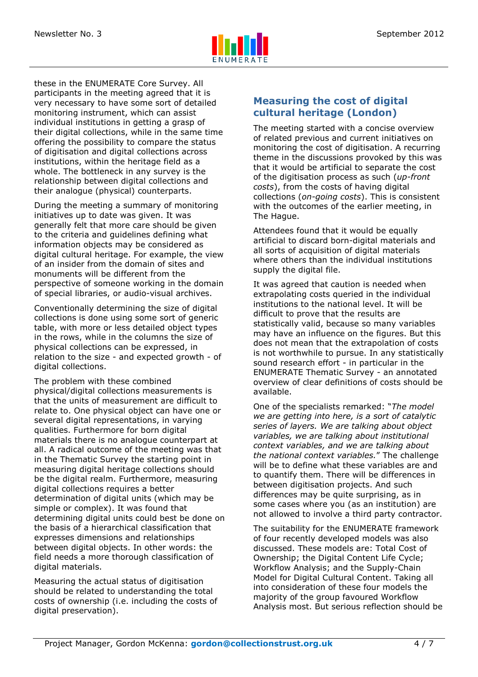

these in the ENUMERATE Core Survey. All participants in the meeting agreed that it is very necessary to have some sort of detailed monitoring instrument, which can assist individual institutions in getting a grasp of their digital collections, while in the same time offering the possibility to compare the status of digitisation and digital collections across institutions, within the heritage field as a whole. The bottleneck in any survey is the relationship between digital collections and their analogue (physical) counterparts.

During the meeting a summary of monitoring initiatives up to date was given. It was generally felt that more care should be given to the criteria and guidelines defining what information objects may be considered as digital cultural heritage. For example, the view of an insider from the domain of sites and monuments will be different from the perspective of someone working in the domain of special libraries, or audio-visual archives.

Conventionally determining the size of digital collections is done using some sort of generic table, with more or less detailed object types in the rows, while in the columns the size of physical collections can be expressed, in relation to the size - and expected growth - of digital collections.

The problem with these combined physical/digital collections measurements is that the units of measurement are difficult to relate to. One physical object can have one or several digital representations, in varying qualities. Furthermore for born digital materials there is no analogue counterpart at all. A radical outcome of the meeting was that in the Thematic Survey the starting point in measuring digital heritage collections should be the digital realm. Furthermore, measuring digital collections requires a better determination of digital units (which may be simple or complex). It was found that determining digital units could best be done on the basis of a hierarchical classification that expresses dimensions and relationships between digital objects. In other words: the field needs a more thorough classification of digital materials.

Measuring the actual status of digitisation should be related to understanding the total costs of ownership (i.e. including the costs of digital preservation).

### **Measuring the cost of digital cultural heritage (London)**

The meeting started with a concise overview of related previous and current initiatives on monitoring the cost of digitisation. A recurring theme in the discussions provoked by this was that it would be artificial to separate the cost of the digitisation process as such (*up-front costs*), from the costs of having digital collections (*on-going costs*). This is consistent with the outcomes of the earlier meeting, in The Hague.

Attendees found that it would be equally artificial to discard born-digital materials and all sorts of acquisition of digital materials where others than the individual institutions supply the digital file.

It was agreed that caution is needed when extrapolating costs queried in the individual institutions to the national level. It will be difficult to prove that the results are statistically valid, because so many variables may have an influence on the figures. But this does not mean that the extrapolation of costs is not worthwhile to pursue. In any statistically sound research effort - in particular in the ENUMERATE Thematic Survey - an annotated overview of clear definitions of costs should be available.

One of the specialists remarked: "*The model we are getting into here, is a sort of catalytic series of layers. We are talking about object variables, we are talking about institutional context variables, and we are talking about the national context variables.*" The challenge will be to define what these variables are and to quantify them. There will be differences in between digitisation projects. And such differences may be quite surprising, as in some cases where you (as an institution) are not allowed to involve a third party contractor.

The suitability for the ENUMERATE framework of four recently developed models was also discussed. These models are: Total Cost of Ownership; the Digital Content Life Cycle; Workflow Analysis; and the Supply-Chain Model for Digital Cultural Content. Taking all into consideration of these four models the majority of the group favoured Workflow Analysis most. But serious reflection should be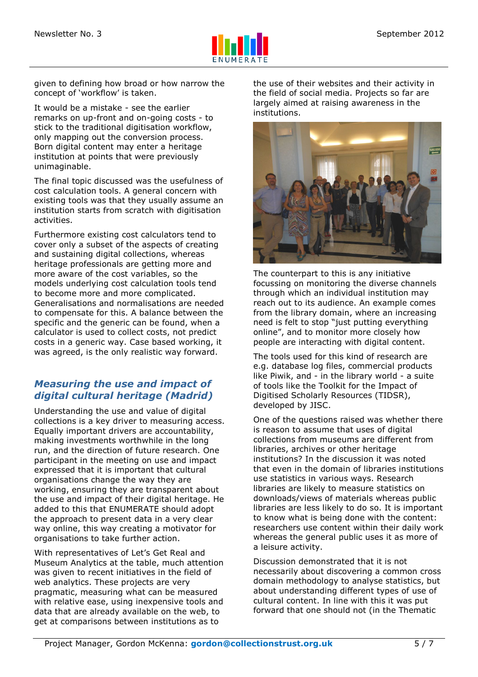

given to defining how broad or how narrow the concept of 'workflow' is taken.

It would be a mistake - see the earlier remarks on up-front and on-going costs - to stick to the traditional digitisation workflow, only mapping out the conversion process. Born digital content may enter a heritage institution at points that were previously unimaginable.

The final topic discussed was the usefulness of cost calculation tools. A general concern with existing tools was that they usually assume an institution starts from scratch with digitisation activities.

Furthermore existing cost calculators tend to cover only a subset of the aspects of creating and sustaining digital collections, whereas heritage professionals are getting more and more aware of the cost variables, so the models underlying cost calculation tools tend to become more and more complicated. Generalisations and normalisations are needed to compensate for this. A balance between the specific and the generic can be found, when a calculator is used to collect costs, not predict costs in a generic way. Case based working, it was agreed, is the only realistic way forward.

### *Measuring the use and impact of digital cultural heritage (Madrid)*

Understanding the use and value of digital collections is a key driver to measuring access. Equally important drivers are accountability, making investments worthwhile in the long run, and the direction of future research. One participant in the meeting on use and impact expressed that it is important that cultural organisations change the way they are working, ensuring they are transparent about the use and impact of their digital heritage. He added to this that ENUMERATE should adopt the approach to present data in a very clear way online, this way creating a motivator for organisations to take further action.

With representatives of Let's Get Real and Museum Analytics at the table, much attention was given to recent initiatives in the field of web analytics. These projects are very pragmatic, measuring what can be measured with relative ease, using inexpensive tools and data that are already available on the web, to get at comparisons between institutions as to

the use of their websites and their activity in the field of social media. Projects so far are largely aimed at raising awareness in the institutions.



The counterpart to this is any initiative focussing on monitoring the diverse channels through which an individual institution may reach out to its audience. An example comes from the library domain, where an increasing need is felt to stop "just putting everything online", and to monitor more closely how people are interacting with digital content.

The tools used for this kind of research are e.g. database log files, commercial products like Piwik, and - in the library world - a suite of tools like the Toolkit for the Impact of Digitised Scholarly Resources (TIDSR), developed by JISC.

One of the questions raised was whether there is reason to assume that uses of digital collections from museums are different from libraries, archives or other heritage institutions? In the discussion it was noted that even in the domain of libraries institutions use statistics in various ways. Research libraries are likely to measure statistics on downloads/views of materials whereas public libraries are less likely to do so. It is important to know what is being done with the content: researchers use content within their daily work whereas the general public uses it as more of a leisure activity.

Discussion demonstrated that it is not necessarily about discovering a common cross domain methodology to analyse statistics, but about understanding different types of use of cultural content. In line with this it was put forward that one should not (in the Thematic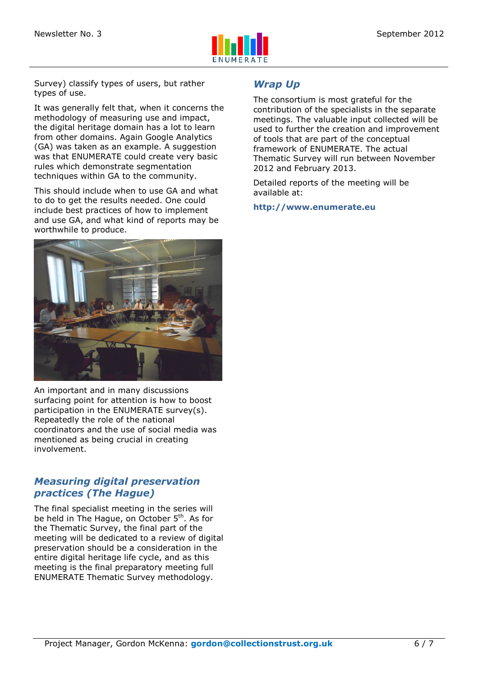

Survey) classify types of users, but rather types of use.

It was generally felt that, when it concerns the methodology of measuring use and impact, the digital heritage domain has a lot to learn from other domains. Again Google Analytics (GA) was taken as an example. A suggestion was that ENUMERATE could create very basic rules which demonstrate segmentation techniques within GA to the community.

This should include when to use GA and what to do to get the results needed. One could include best practices of how to implement and use GA, and what kind of reports may be worthwhile to produce.



An important and in many discussions surfacing point for attention is how to boost participation in the ENUMERATE survey(s). Repeatedly the role of the national coordinators and the use of social media was mentioned as being crucial in creating involvement.

#### *Measuring digital preservation practices (The Hague)*

The final specialist meeting in the series will be held in The Hague, on October 5<sup>th</sup>. As for the Thematic Survey, the final part of the meeting will be dedicated to a review of digital preservation should be a consideration in the entire digital heritage life cycle, and as this meeting is the final preparatory meeting full ENUMERATE Thematic Survey methodology.

#### *Wrap Up*

The consortium is most grateful for the contribution of the specialists in the separate meetings. The valuable input collected will be used to further the creation and improvement of tools that are part of the conceptual framework of ENUMERATE. The actual Thematic Survey will run between November 2012 and February 2013.

Detailed reports of the meeting will be available at:

**http://www.enumerate.eu**